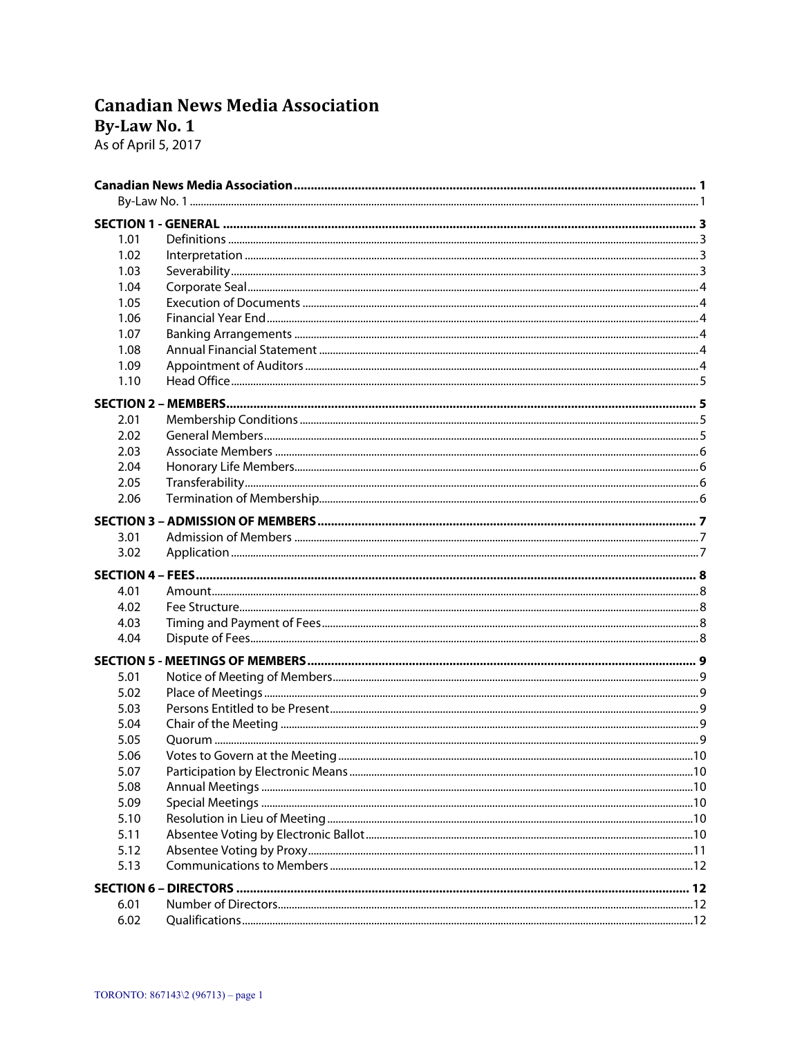# **Canadian News Media Association**

By-Law No. 1

As of April 5, 2017

| 1.01             |  |  |  |  |
|------------------|--|--|--|--|
| 1.02             |  |  |  |  |
| 1.03             |  |  |  |  |
| 1.04             |  |  |  |  |
| 1.05             |  |  |  |  |
| 1.06             |  |  |  |  |
| 1.07             |  |  |  |  |
| 1.08             |  |  |  |  |
| 1.09             |  |  |  |  |
| 1.10             |  |  |  |  |
|                  |  |  |  |  |
| 2.01             |  |  |  |  |
| 2.02             |  |  |  |  |
| 2.03             |  |  |  |  |
| 2.04             |  |  |  |  |
| 2.05             |  |  |  |  |
| 2.06             |  |  |  |  |
|                  |  |  |  |  |
| 3.01             |  |  |  |  |
| 3.02             |  |  |  |  |
|                  |  |  |  |  |
|                  |  |  |  |  |
| 4.01             |  |  |  |  |
| 4.02             |  |  |  |  |
| 4.03             |  |  |  |  |
| 4.04             |  |  |  |  |
| <b>SECTION 5</b> |  |  |  |  |
| 5.01             |  |  |  |  |
| 5.02             |  |  |  |  |
| 5.03             |  |  |  |  |
| 5.04             |  |  |  |  |
| 5.05             |  |  |  |  |
| 5.06             |  |  |  |  |
| 5.07             |  |  |  |  |
| 5.08             |  |  |  |  |
| 5.09             |  |  |  |  |
| 5.10             |  |  |  |  |
| 5.11             |  |  |  |  |
| 5.12             |  |  |  |  |
| 5.13             |  |  |  |  |
|                  |  |  |  |  |
| 6.01             |  |  |  |  |
| 6.02             |  |  |  |  |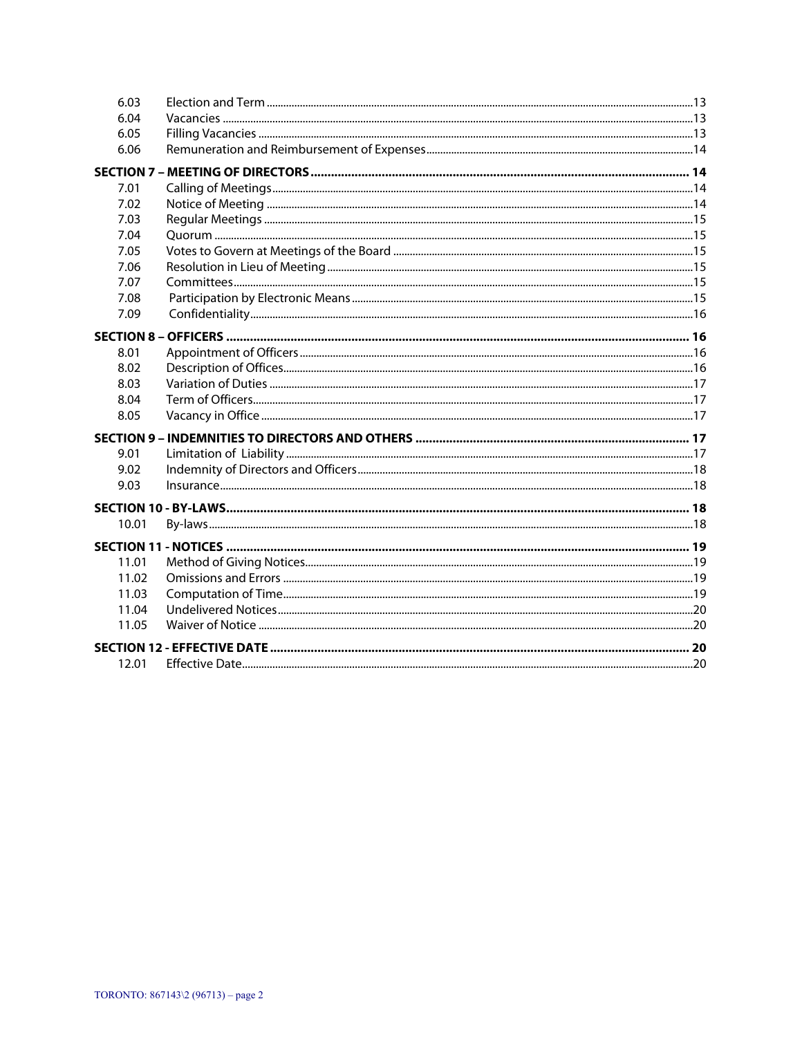| 6.03  |  |
|-------|--|
| 6.04  |  |
| 6.05  |  |
| 6.06  |  |
|       |  |
| 7.01  |  |
| 7.02  |  |
| 7.03  |  |
| 7.04  |  |
| 7.05  |  |
| 7.06  |  |
| 7.07  |  |
| 7.08  |  |
| 7.09  |  |
|       |  |
| 8.01  |  |
| 8.02  |  |
| 8.03  |  |
| 8.04  |  |
| 8.05  |  |
|       |  |
| 9.01  |  |
| 9.02  |  |
| 9.03  |  |
|       |  |
| 10.01 |  |
|       |  |
| 11.01 |  |
| 11.02 |  |
| 11.03 |  |
| 11.04 |  |
| 11.05 |  |
|       |  |
| 12.01 |  |
|       |  |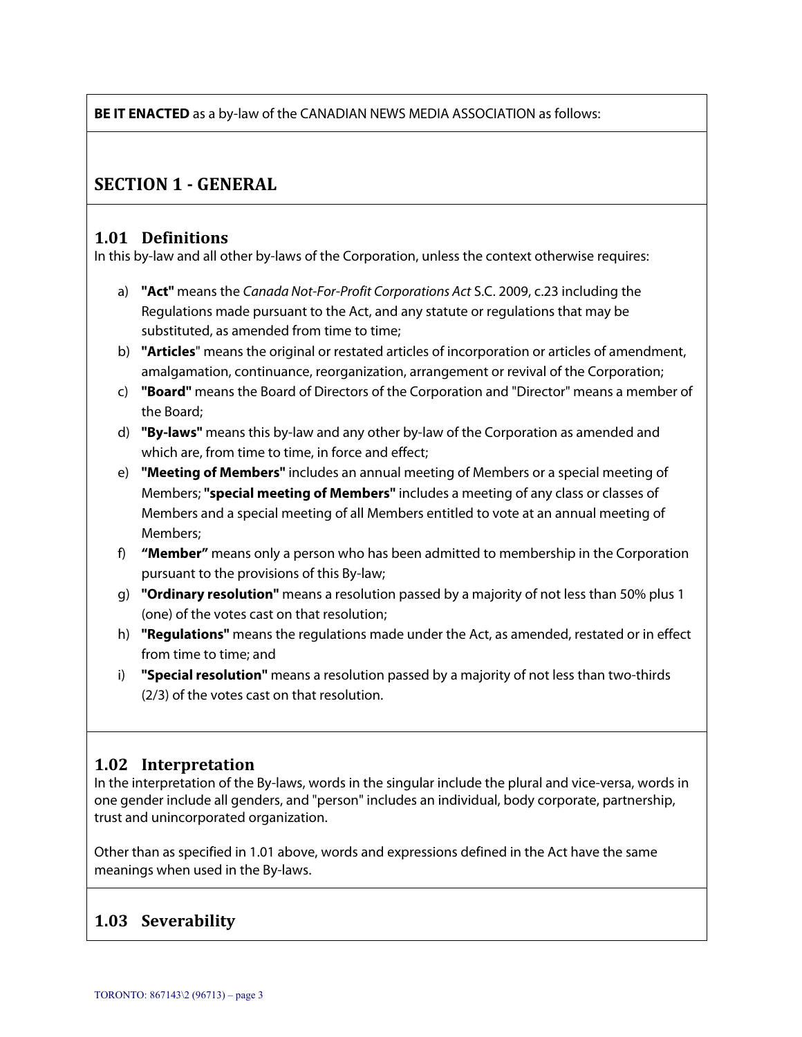**BE IT ENACTED** as a by-law of the CANADIAN NEWS MEDIA ASSOCIATION as follows:

## **SECTION 1 - GENERAL**

#### **1.01 Definitions**

In this by-law and all other by-laws of the Corporation, unless the context otherwise requires:

- a) **"Act"** means the Canada Not-For-Profit Corporations Act S.C. 2009, c.23 including the Regulations made pursuant to the Act, and any statute or regulations that may be substituted, as amended from time to time;
- b) **"Articles**" means the original or restated articles of incorporation or articles of amendment, amalgamation, continuance, reorganization, arrangement or revival of the Corporation;
- c) **"Board"** means the Board of Directors of the Corporation and "Director" means a member of the Board;
- d) **"By-laws"** means this by-law and any other by-law of the Corporation as amended and which are, from time to time, in force and effect;
- e) **"Meeting of Members"** includes an annual meeting of Members or a special meeting of Members; **"special meeting of Members"** includes a meeting of any class or classes of Members and a special meeting of all Members entitled to vote at an annual meeting of Members;
- f) **"Member"** means only a person who has been admitted to membership in the Corporation pursuant to the provisions of this By-law;
- g) **"Ordinary resolution"** means a resolution passed by a majority of not less than 50% plus 1 (one) of the votes cast on that resolution;
- h) **"Regulations"** means the regulations made under the Act, as amended, restated or in effect from time to time; and
- i) **"Special resolution"** means a resolution passed by a majority of not less than two-thirds (2/3) of the votes cast on that resolution.

## **1.02 Interpretation**

In the interpretation of the By-laws, words in the singular include the plural and vice-versa, words in one gender include all genders, and "person" includes an individual, body corporate, partnership, trust and unincorporated organization.

Other than as specified in 1.01 above, words and expressions defined in the Act have the same meanings when used in the By-laws.

## **1.03 Severability**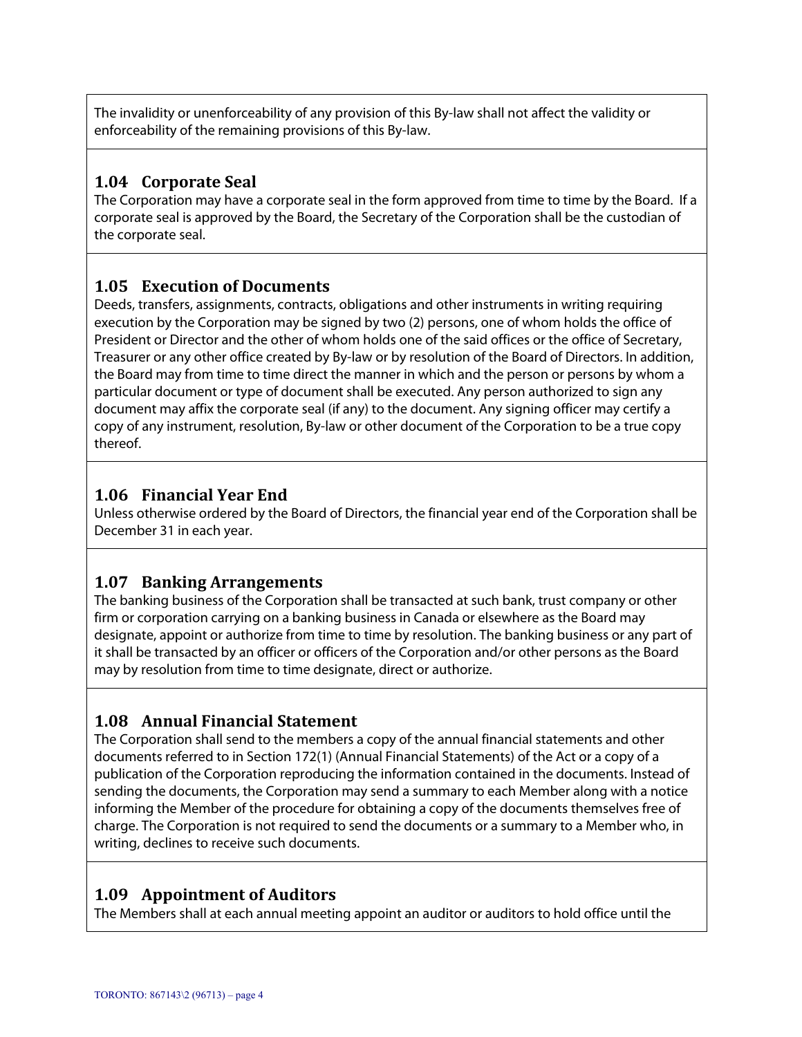The invalidity or unenforceability of any provision of this By-law shall not affect the validity or enforceability of the remaining provisions of this By-law.

## **1.04 Corporate Seal**

The Corporation may have a corporate seal in the form approved from time to time by the Board. If a corporate seal is approved by the Board, the Secretary of the Corporation shall be the custodian of the corporate seal.

#### **1.05 Execution of Documents**

Deeds, transfers, assignments, contracts, obligations and other instruments in writing requiring execution by the Corporation may be signed by two (2) persons, one of whom holds the office of President or Director and the other of whom holds one of the said offices or the office of Secretary, Treasurer or any other office created by By-law or by resolution of the Board of Directors. In addition, the Board may from time to time direct the manner in which and the person or persons by whom a particular document or type of document shall be executed. Any person authorized to sign any document may affix the corporate seal (if any) to the document. Any signing officer may certify a copy of any instrument, resolution, By-law or other document of the Corporation to be a true copy thereof.

### **1.06 Financial Year End**

Unless otherwise ordered by the Board of Directors, the financial year end of the Corporation shall be December 31 in each year.

#### **1.07 Banking Arrangements**

The banking business of the Corporation shall be transacted at such bank, trust company or other firm or corporation carrying on a banking business in Canada or elsewhere as the Board may designate, appoint or authorize from time to time by resolution. The banking business or any part of it shall be transacted by an officer or officers of the Corporation and/or other persons as the Board may by resolution from time to time designate, direct or authorize.

## **1.08 Annual Financial Statement**

The Corporation shall send to the members a copy of the annual financial statements and other documents referred to in Section 172(1) (Annual Financial Statements) of the Act or a copy of a publication of the Corporation reproducing the information contained in the documents. Instead of sending the documents, the Corporation may send a summary to each Member along with a notice informing the Member of the procedure for obtaining a copy of the documents themselves free of charge. The Corporation is not required to send the documents or a summary to a Member who, in writing, declines to receive such documents.

## **1.09 Appointment of Auditors**

The Members shall at each annual meeting appoint an auditor or auditors to hold office until the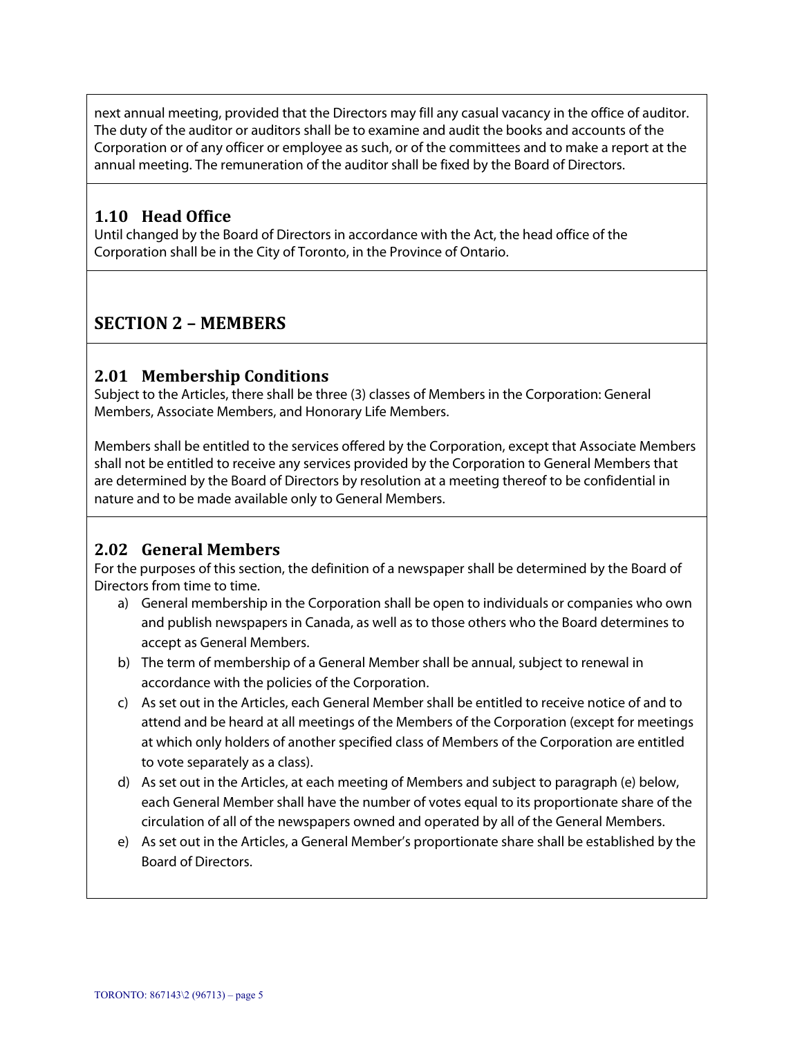next annual meeting, provided that the Directors may fill any casual vacancy in the office of auditor. The duty of the auditor or auditors shall be to examine and audit the books and accounts of the Corporation or of any officer or employee as such, or of the committees and to make a report at the annual meeting. The remuneration of the auditor shall be fixed by the Board of Directors.

### **1.10 Head Office**

Until changed by the Board of Directors in accordance with the Act, the head office of the Corporation shall be in the City of Toronto, in the Province of Ontario.

# **SECTION 2 – MEMBERS**

### **2.01 Membership Conditions**

Subject to the Articles, there shall be three (3) classes of Members in the Corporation: General Members, Associate Members, and Honorary Life Members.

Members shall be entitled to the services offered by the Corporation, except that Associate Members shall not be entitled to receive any services provided by the Corporation to General Members that are determined by the Board of Directors by resolution at a meeting thereof to be confidential in nature and to be made available only to General Members.

## **2.02 General Members**

For the purposes of this section, the definition of a newspaper shall be determined by the Board of Directors from time to time.

- a) General membership in the Corporation shall be open to individuals or companies who own and publish newspapers in Canada, as well as to those others who the Board determines to accept as General Members.
- b) The term of membership of a General Member shall be annual, subject to renewal in accordance with the policies of the Corporation.
- c) As set out in the Articles, each General Member shall be entitled to receive notice of and to attend and be heard at all meetings of the Members of the Corporation (except for meetings at which only holders of another specified class of Members of the Corporation are entitled to vote separately as a class).
- d) As set out in the Articles, at each meeting of Members and subject to paragraph (e) below, each General Member shall have the number of votes equal to its proportionate share of the circulation of all of the newspapers owned and operated by all of the General Members.
- e) As set out in the Articles, a General Member's proportionate share shall be established by the Board of Directors.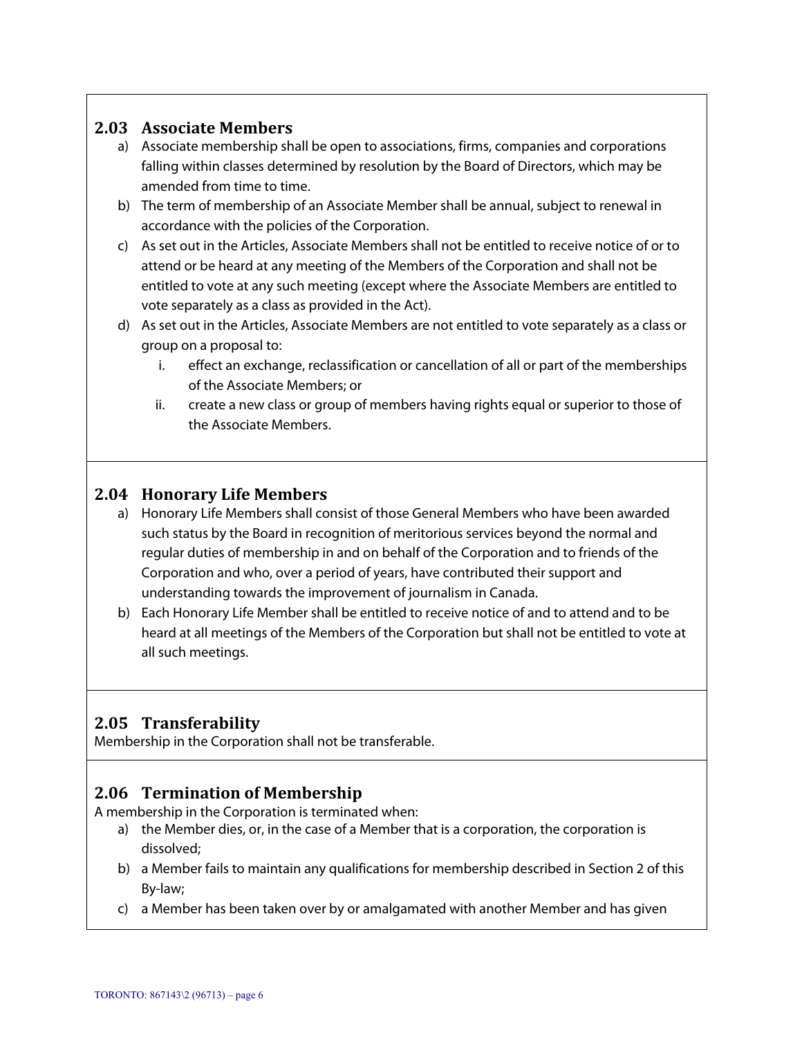#### **2.03 Associate Members**

- a) Associate membership shall be open to associations, firms, companies and corporations falling within classes determined by resolution by the Board of Directors, which may be amended from time to time.
- b) The term of membership of an Associate Member shall be annual, subject to renewal in accordance with the policies of the Corporation.
- c) As set out in the Articles, Associate Members shall not be entitled to receive notice of or to attend or be heard at any meeting of the Members of the Corporation and shall not be entitled to vote at any such meeting (except where the Associate Members are entitled to vote separately as a class as provided in the Act).
- d) As set out in the Articles, Associate Members are not entitled to vote separately as a class or group on a proposal to:
	- i. effect an exchange, reclassification or cancellation of all or part of the memberships of the Associate Members; or
	- ii. create a new class or group of members having rights equal or superior to those of the Associate Members.

#### **2.04 Honorary Life Members**

- a) Honorary Life Members shall consist of those General Members who have been awarded such status by the Board in recognition of meritorious services beyond the normal and regular duties of membership in and on behalf of the Corporation and to friends of the Corporation and who, over a period of years, have contributed their support and understanding towards the improvement of journalism in Canada.
- b) Each Honorary Life Member shall be entitled to receive notice of and to attend and to be heard at all meetings of the Members of the Corporation but shall not be entitled to vote at all such meetings.

#### **2.05 Transferability**

Membership in the Corporation shall not be transferable.

#### **2.06 Termination of Membership**

A membership in the Corporation is terminated when:

- a) the Member dies, or, in the case of a Member that is a corporation, the corporation is dissolved;
- b) a Member fails to maintain any qualifications for membership described in Section 2 of this By-law;
- c) a Member has been taken over by or amalgamated with another Member and has given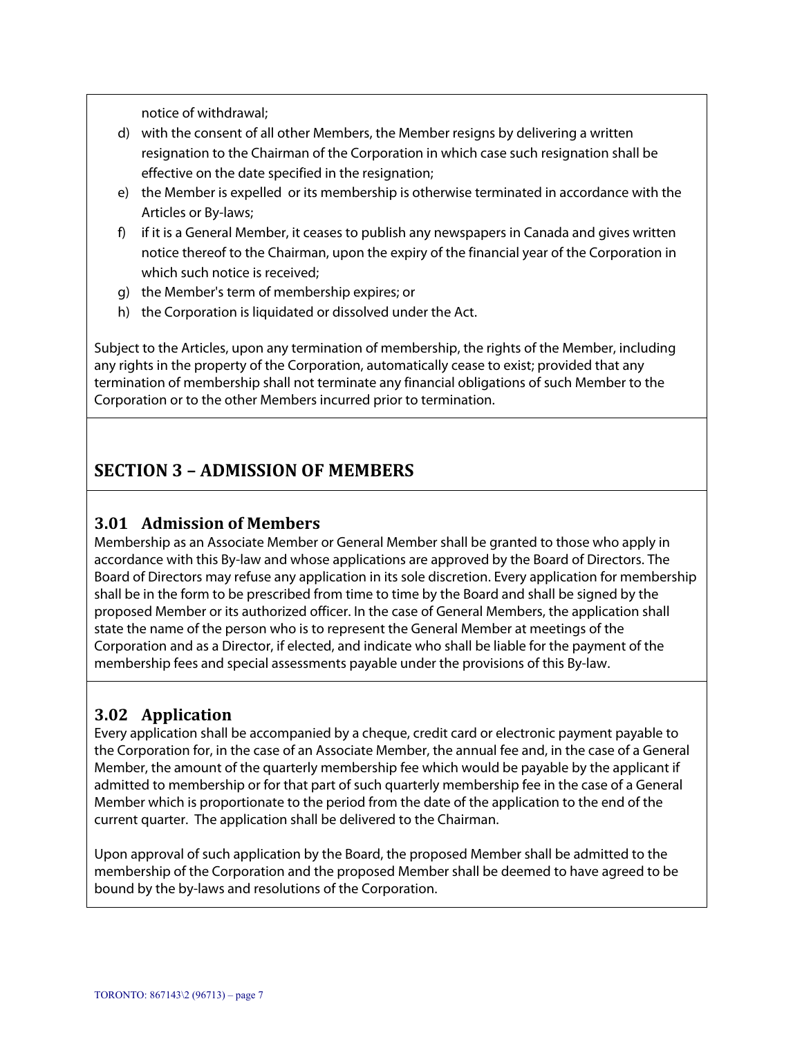notice of withdrawal;

- d) with the consent of all other Members, the Member resigns by delivering a written resignation to the Chairman of the Corporation in which case such resignation shall be effective on the date specified in the resignation;
- e) the Member is expelled or its membership is otherwise terminated in accordance with the Articles or By-laws;
- f) if it is a General Member, it ceases to publish any newspapers in Canada and gives written notice thereof to the Chairman, upon the expiry of the financial year of the Corporation in which such notice is received;
- g) the Member's term of membership expires; or
- h) the Corporation is liquidated or dissolved under the Act.

Subject to the Articles, upon any termination of membership, the rights of the Member, including any rights in the property of the Corporation, automatically cease to exist; provided that any termination of membership shall not terminate any financial obligations of such Member to the Corporation or to the other Members incurred prior to termination.

# **SECTION 3 – ADMISSION OF MEMBERS**

#### **3.01 Admission of Members**

Membership as an Associate Member or General Member shall be granted to those who apply in accordance with this By-law and whose applications are approved by the Board of Directors. The Board of Directors may refuse any application in its sole discretion. Every application for membership shall be in the form to be prescribed from time to time by the Board and shall be signed by the proposed Member or its authorized officer. In the case of General Members, the application shall state the name of the person who is to represent the General Member at meetings of the Corporation and as a Director, if elected, and indicate who shall be liable for the payment of the membership fees and special assessments payable under the provisions of this By-law.

#### **3.02 Application**

Every application shall be accompanied by a cheque, credit card or electronic payment payable to the Corporation for, in the case of an Associate Member, the annual fee and, in the case of a General Member, the amount of the quarterly membership fee which would be payable by the applicant if admitted to membership or for that part of such quarterly membership fee in the case of a General Member which is proportionate to the period from the date of the application to the end of the current quarter. The application shall be delivered to the Chairman.

Upon approval of such application by the Board, the proposed Member shall be admitted to the membership of the Corporation and the proposed Member shall be deemed to have agreed to be bound by the by-laws and resolutions of the Corporation.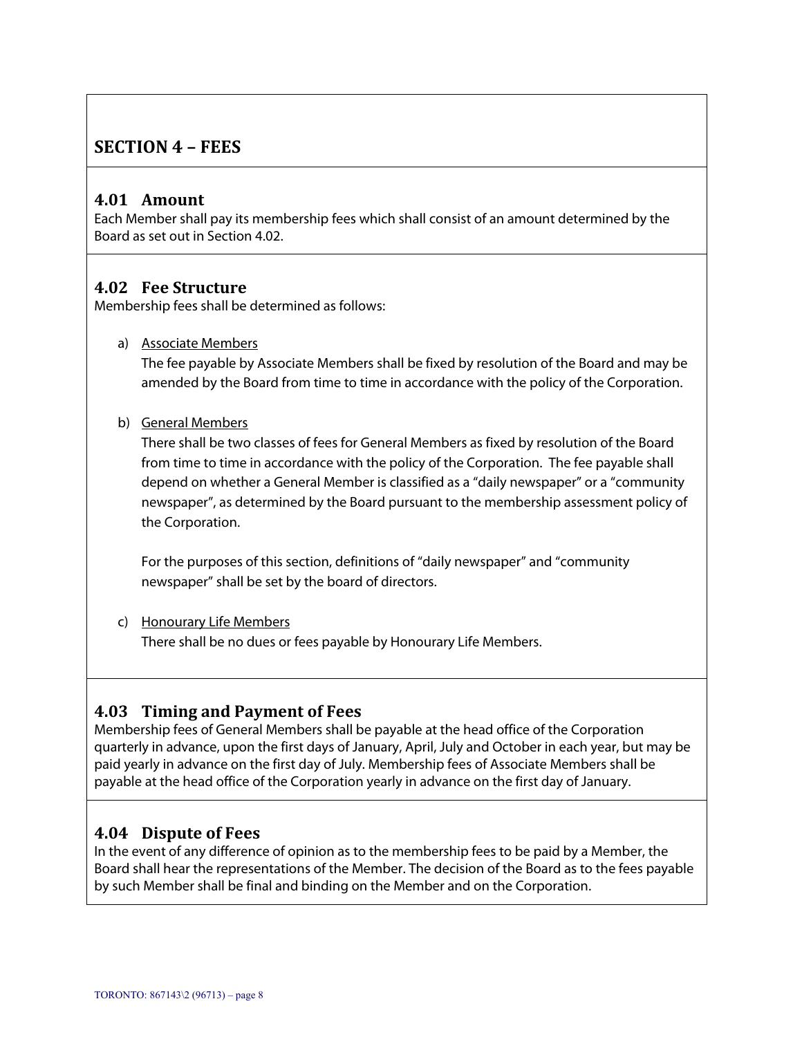## **SECTION 4 – FEES**

#### **4.01 Amount**

Each Member shall pay its membership fees which shall consist of an amount determined by the Board as set out in Section 4.02.

#### **4.02 Fee Structure**

Membership fees shall be determined as follows:

a) Associate Members

The fee payable by Associate Members shall be fixed by resolution of the Board and may be amended by the Board from time to time in accordance with the policy of the Corporation.

#### b) General Members

There shall be two classes of fees for General Members as fixed by resolution of the Board from time to time in accordance with the policy of the Corporation. The fee payable shall depend on whether a General Member is classified as a "daily newspaper" or a "community newspaper", as determined by the Board pursuant to the membership assessment policy of the Corporation.

For the purposes of this section, definitions of "daily newspaper" and "community newspaper" shall be set by the board of directors.

c) Honourary Life Members There shall be no dues or fees payable by Honourary Life Members.

#### **4.03 Timing and Payment of Fees**

Membership fees of General Members shall be payable at the head office of the Corporation quarterly in advance, upon the first days of January, April, July and October in each year, but may be paid yearly in advance on the first day of July. Membership fees of Associate Members shall be payable at the head office of the Corporation yearly in advance on the first day of January.

#### **4.04 Dispute of Fees**

In the event of any difference of opinion as to the membership fees to be paid by a Member, the Board shall hear the representations of the Member. The decision of the Board as to the fees payable by such Member shall be final and binding on the Member and on the Corporation.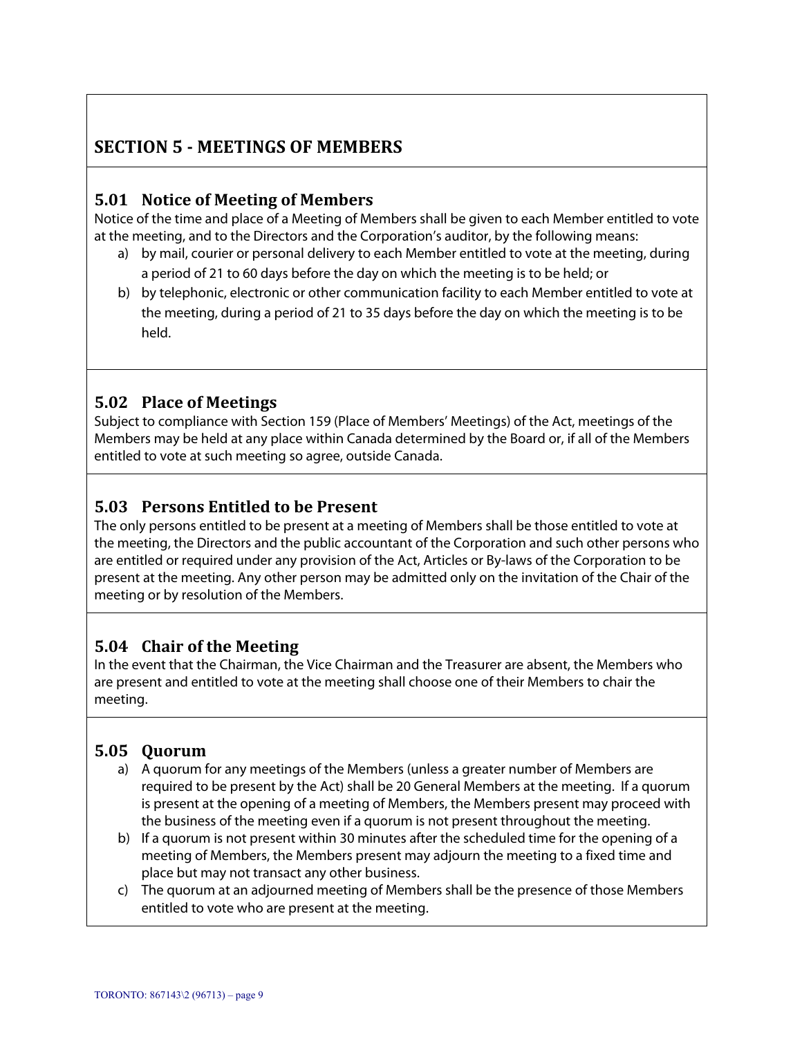# **SECTION 5 ‐ MEETINGS OF MEMBERS**

### **5.01 Notice of Meeting of Members**

Notice of the time and place of a Meeting of Members shall be given to each Member entitled to vote at the meeting, and to the Directors and the Corporation's auditor, by the following means:

- a) by mail, courier or personal delivery to each Member entitled to vote at the meeting, during a period of 21 to 60 days before the day on which the meeting is to be held; or
- b) by telephonic, electronic or other communication facility to each Member entitled to vote at the meeting, during a period of 21 to 35 days before the day on which the meeting is to be held.

#### **5.02 Place of Meetings**

Subject to compliance with Section 159 (Place of Members' Meetings) of the Act, meetings of the Members may be held at any place within Canada determined by the Board or, if all of the Members entitled to vote at such meeting so agree, outside Canada.

### **5.03 Persons Entitled to be Present**

The only persons entitled to be present at a meeting of Members shall be those entitled to vote at the meeting, the Directors and the public accountant of the Corporation and such other persons who are entitled or required under any provision of the Act, Articles or By-laws of the Corporation to be present at the meeting. Any other person may be admitted only on the invitation of the Chair of the meeting or by resolution of the Members.

#### **5.04 Chair of the Meeting**

In the event that the Chairman, the Vice Chairman and the Treasurer are absent, the Members who are present and entitled to vote at the meeting shall choose one of their Members to chair the meeting.

#### **5.05 Quorum**

- a) A quorum for any meetings of the Members (unless a greater number of Members are required to be present by the Act) shall be 20 General Members at the meeting. If a quorum is present at the opening of a meeting of Members, the Members present may proceed with the business of the meeting even if a quorum is not present throughout the meeting.
- b) If a quorum is not present within 30 minutes after the scheduled time for the opening of a meeting of Members, the Members present may adjourn the meeting to a fixed time and place but may not transact any other business.
- c) The quorum at an adjourned meeting of Members shall be the presence of those Members entitled to vote who are present at the meeting.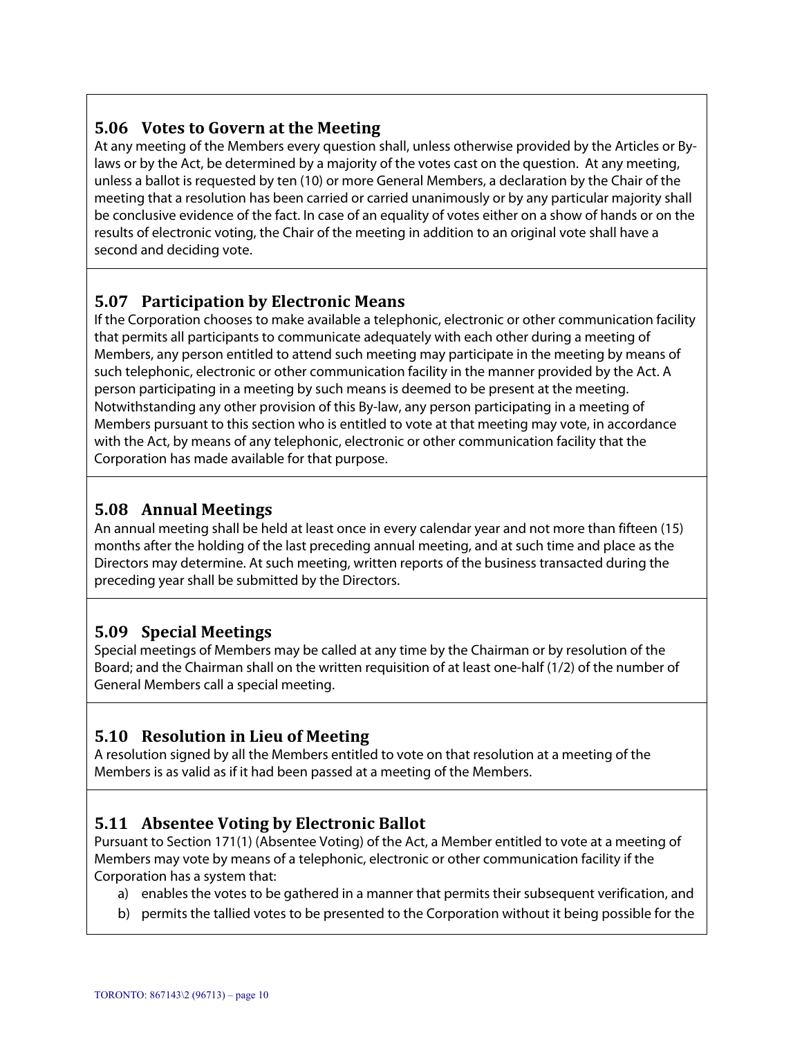## **5.06 Votes to Govern at the Meeting**

At any meeting of the Members every question shall, unless otherwise provided by the Articles or Bylaws or by the Act, be determined by a majority of the votes cast on the question. At any meeting, unless a ballot is requested by ten (10) or more General Members, a declaration by the Chair of the meeting that a resolution has been carried or carried unanimously or by any particular majority shall be conclusive evidence of the fact. In case of an equality of votes either on a show of hands or on the results of electronic voting, the Chair of the meeting in addition to an original vote shall have a second and deciding vote.

## **5.07 Participation by Electronic Means**

If the Corporation chooses to make available a telephonic, electronic or other communication facility that permits all participants to communicate adequately with each other during a meeting of Members, any person entitled to attend such meeting may participate in the meeting by means of such telephonic, electronic or other communication facility in the manner provided by the Act. A person participating in a meeting by such means is deemed to be present at the meeting. Notwithstanding any other provision of this By-law, any person participating in a meeting of Members pursuant to this section who is entitled to vote at that meeting may vote, in accordance with the Act, by means of any telephonic, electronic or other communication facility that the Corporation has made available for that purpose.

## **5.08 Annual Meetings**

An annual meeting shall be held at least once in every calendar year and not more than fifteen (15) months after the holding of the last preceding annual meeting, and at such time and place as the Directors may determine. At such meeting, written reports of the business transacted during the preceding year shall be submitted by the Directors.

## **5.09 Special Meetings**

Special meetings of Members may be called at any time by the Chairman or by resolution of the Board; and the Chairman shall on the written requisition of at least one-half (1/2) of the number of General Members call a special meeting.

## **5.10 Resolution in Lieu of Meeting**

A resolution signed by all the Members entitled to vote on that resolution at a meeting of the Members is as valid as if it had been passed at a meeting of the Members.

## **5.11 Absentee Voting by Electronic Ballot**

Pursuant to Section 171(1) (Absentee Voting) of the Act, a Member entitled to vote at a meeting of Members may vote by means of a telephonic, electronic or other communication facility if the Corporation has a system that:

- a) enables the votes to be gathered in a manner that permits their subsequent verification, and
- b) permits the tallied votes to be presented to the Corporation without it being possible for the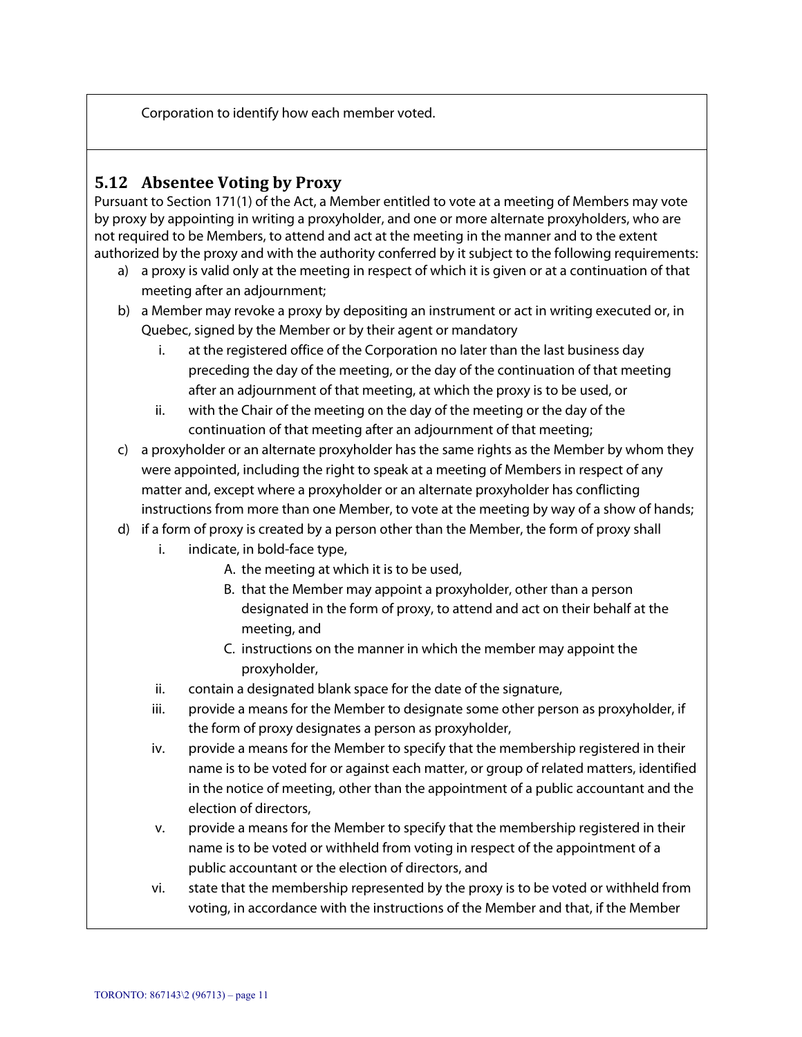Corporation to identify how each member voted.

#### **5.12 Absentee Voting by Proxy**

Pursuant to Section 171(1) of the Act, a Member entitled to vote at a meeting of Members may vote by proxy by appointing in writing a proxyholder, and one or more alternate proxyholders, who are not required to be Members, to attend and act at the meeting in the manner and to the extent authorized by the proxy and with the authority conferred by it subject to the following requirements:

- a) a proxy is valid only at the meeting in respect of which it is given or at a continuation of that meeting after an adjournment;
- b) a Member may revoke a proxy by depositing an instrument or act in writing executed or, in Quebec, signed by the Member or by their agent or mandatory
	- i. at the registered office of the Corporation no later than the last business day preceding the day of the meeting, or the day of the continuation of that meeting after an adjournment of that meeting, at which the proxy is to be used, or
	- ii. with the Chair of the meeting on the day of the meeting or the day of the continuation of that meeting after an adjournment of that meeting;
- c) a proxyholder or an alternate proxyholder has the same rights as the Member by whom they were appointed, including the right to speak at a meeting of Members in respect of any matter and, except where a proxyholder or an alternate proxyholder has conflicting instructions from more than one Member, to vote at the meeting by way of a show of hands;
- d) if a form of proxy is created by a person other than the Member, the form of proxy shall
	- i. indicate, in bold-face type,
		- A. the meeting at which it is to be used,
		- B. that the Member may appoint a proxyholder, other than a person designated in the form of proxy, to attend and act on their behalf at the meeting, and
		- C. instructions on the manner in which the member may appoint the proxyholder,
	- ii. contain a designated blank space for the date of the signature,
	- iii. provide a means for the Member to designate some other person as proxyholder, if the form of proxy designates a person as proxyholder,
	- iv. provide a means for the Member to specify that the membership registered in their name is to be voted for or against each matter, or group of related matters, identified in the notice of meeting, other than the appointment of a public accountant and the election of directors,
	- v. provide a means for the Member to specify that the membership registered in their name is to be voted or withheld from voting in respect of the appointment of a public accountant or the election of directors, and
	- vi. state that the membership represented by the proxy is to be voted or withheld from voting, in accordance with the instructions of the Member and that, if the Member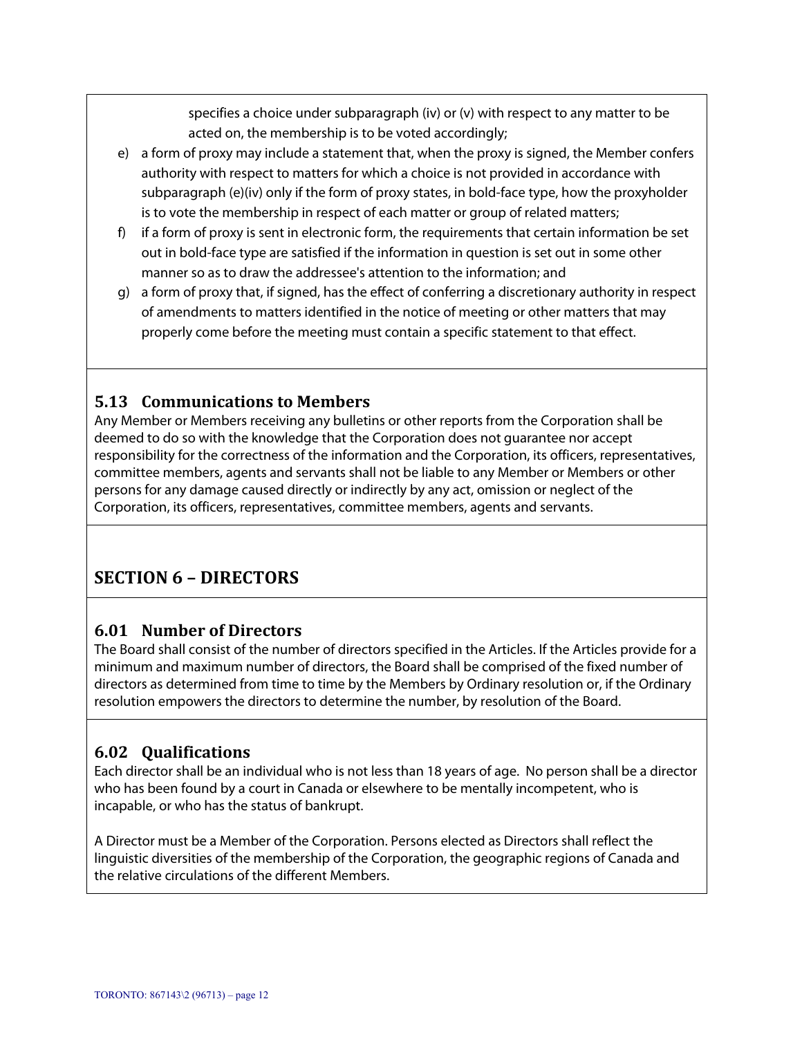specifies a choice under subparagraph (iv) or (v) with respect to any matter to be acted on, the membership is to be voted accordingly;

- e) a form of proxy may include a statement that, when the proxy is signed, the Member confers authority with respect to matters for which a choice is not provided in accordance with subparagraph (e)(iv) only if the form of proxy states, in bold-face type, how the proxyholder is to vote the membership in respect of each matter or group of related matters;
- f) if a form of proxy is sent in electronic form, the requirements that certain information be set out in bold-face type are satisfied if the information in question is set out in some other manner so as to draw the addressee's attention to the information; and
- g) a form of proxy that, if signed, has the effect of conferring a discretionary authority in respect of amendments to matters identified in the notice of meeting or other matters that may properly come before the meeting must contain a specific statement to that effect.

## **5.13 Communications to Members**

Any Member or Members receiving any bulletins or other reports from the Corporation shall be deemed to do so with the knowledge that the Corporation does not guarantee nor accept responsibility for the correctness of the information and the Corporation, its officers, representatives, committee members, agents and servants shall not be liable to any Member or Members or other persons for any damage caused directly or indirectly by any act, omission or neglect of the Corporation, its officers, representatives, committee members, agents and servants.

# **SECTION 6 – DIRECTORS**

#### **6.01 Number of Directors**

The Board shall consist of the number of directors specified in the Articles. If the Articles provide for a minimum and maximum number of directors, the Board shall be comprised of the fixed number of directors as determined from time to time by the Members by Ordinary resolution or, if the Ordinary resolution empowers the directors to determine the number, by resolution of the Board.

## **6.02 Qualifications**

Each director shall be an individual who is not less than 18 years of age. No person shall be a director who has been found by a court in Canada or elsewhere to be mentally incompetent, who is incapable, or who has the status of bankrupt.

A Director must be a Member of the Corporation. Persons elected as Directors shall reflect the linguistic diversities of the membership of the Corporation, the geographic regions of Canada and the relative circulations of the different Members.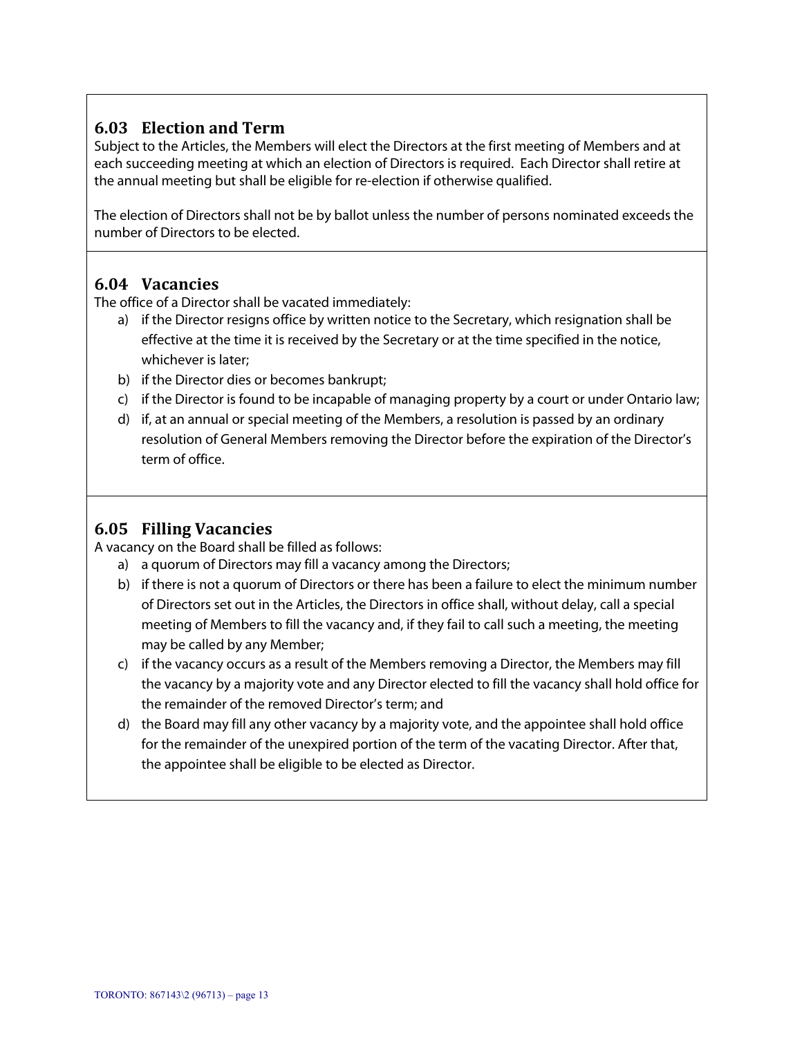## **6.03 Election and Term**

Subject to the Articles, the Members will elect the Directors at the first meeting of Members and at each succeeding meeting at which an election of Directors is required. Each Director shall retire at the annual meeting but shall be eligible for re-election if otherwise qualified.

The election of Directors shall not be by ballot unless the number of persons nominated exceeds the number of Directors to be elected.

#### **6.04 Vacancies**

The office of a Director shall be vacated immediately:

- a) if the Director resigns office by written notice to the Secretary, which resignation shall be effective at the time it is received by the Secretary or at the time specified in the notice, whichever is later;
- b) if the Director dies or becomes bankrupt;
- c) if the Director is found to be incapable of managing property by a court or under Ontario law;
- d) if, at an annual or special meeting of the Members, a resolution is passed by an ordinary resolution of General Members removing the Director before the expiration of the Director's term of office.

## **6.05 Filling Vacancies**

A vacancy on the Board shall be filled as follows:

- a) a quorum of Directors may fill a vacancy among the Directors;
- b) if there is not a quorum of Directors or there has been a failure to elect the minimum number of Directors set out in the Articles, the Directors in office shall, without delay, call a special meeting of Members to fill the vacancy and, if they fail to call such a meeting, the meeting may be called by any Member;
- c) if the vacancy occurs as a result of the Members removing a Director, the Members may fill the vacancy by a majority vote and any Director elected to fill the vacancy shall hold office for the remainder of the removed Director's term; and
- d) the Board may fill any other vacancy by a majority vote, and the appointee shall hold office for the remainder of the unexpired portion of the term of the vacating Director. After that, the appointee shall be eligible to be elected as Director.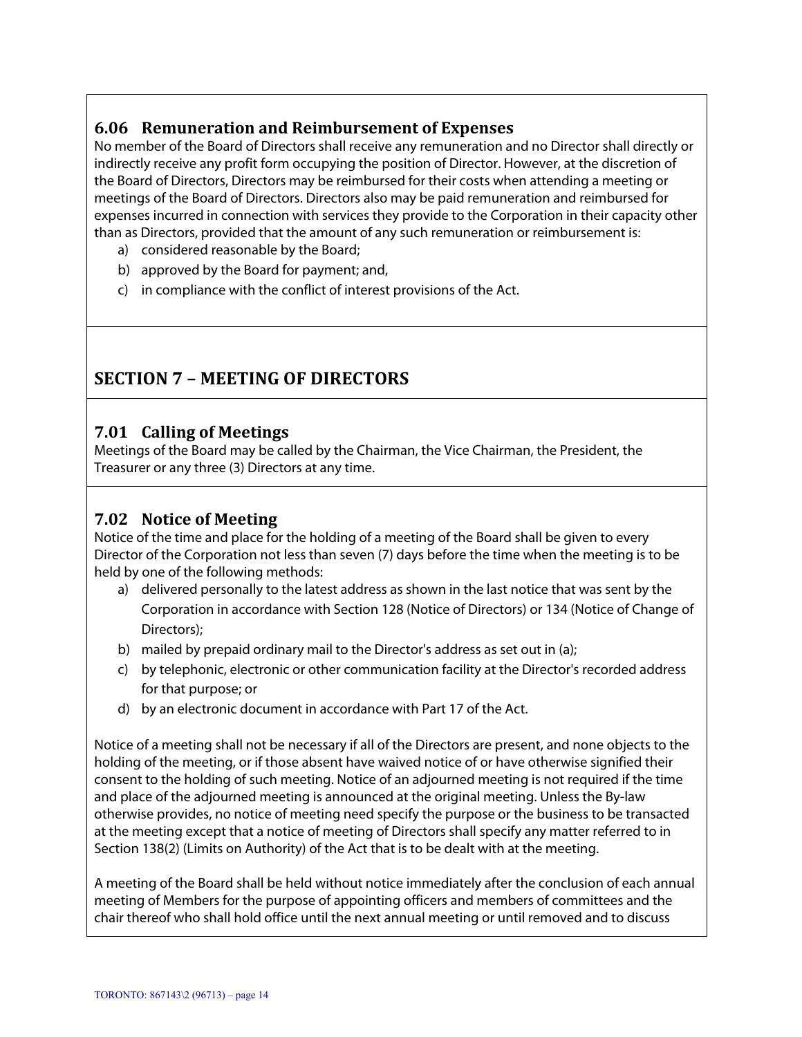## **6.06 Remuneration and Reimbursement of Expenses**

No member of the Board of Directors shall receive any remuneration and no Director shall directly or indirectly receive any profit form occupying the position of Director. However, at the discretion of the Board of Directors, Directors may be reimbursed for their costs when attending a meeting or meetings of the Board of Directors. Directors also may be paid remuneration and reimbursed for expenses incurred in connection with services they provide to the Corporation in their capacity other than as Directors, provided that the amount of any such remuneration or reimbursement is:

- a) considered reasonable by the Board;
- b) approved by the Board for payment; and,
- c) in compliance with the conflict of interest provisions of the Act.

## **SECTION 7 – MEETING OF DIRECTORS**

#### **7.01 Calling of Meetings**

Meetings of the Board may be called by the Chairman, the Vice Chairman, the President, the Treasurer or any three (3) Directors at any time.

## **7.02** Notice of Meeting

Notice of the time and place for the holding of a meeting of the Board shall be given to every Director of the Corporation not less than seven (7) days before the time when the meeting is to be held by one of the following methods:

- a) delivered personally to the latest address as shown in the last notice that was sent by the Corporation in accordance with Section 128 (Notice of Directors) or 134 (Notice of Change of Directors);
- b) mailed by prepaid ordinary mail to the Director's address as set out in (a);
- c) by telephonic, electronic or other communication facility at the Director's recorded address for that purpose; or
- d) by an electronic document in accordance with Part 17 of the Act.

Notice of a meeting shall not be necessary if all of the Directors are present, and none objects to the holding of the meeting, or if those absent have waived notice of or have otherwise signified their consent to the holding of such meeting. Notice of an adjourned meeting is not required if the time and place of the adjourned meeting is announced at the original meeting. Unless the By-law otherwise provides, no notice of meeting need specify the purpose or the business to be transacted at the meeting except that a notice of meeting of Directors shall specify any matter referred to in Section 138(2) (Limits on Authority) of the Act that is to be dealt with at the meeting.

A meeting of the Board shall be held without notice immediately after the conclusion of each annual meeting of Members for the purpose of appointing officers and members of committees and the chair thereof who shall hold office until the next annual meeting or until removed and to discuss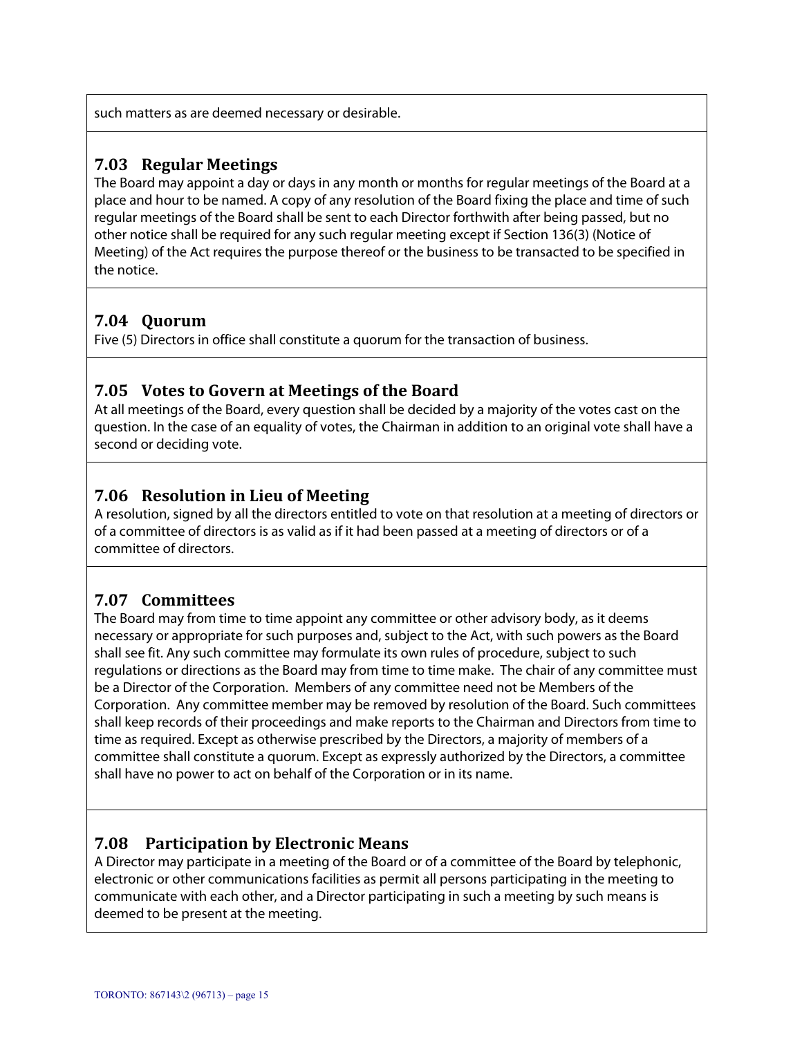such matters as are deemed necessary or desirable.

#### **7.03 Regular Meetings**

The Board may appoint a day or days in any month or months for regular meetings of the Board at a place and hour to be named. A copy of any resolution of the Board fixing the place and time of such regular meetings of the Board shall be sent to each Director forthwith after being passed, but no other notice shall be required for any such regular meeting except if Section 136(3) (Notice of Meeting) of the Act requires the purpose thereof or the business to be transacted to be specified in the notice.

#### **7.04 Quorum**

Five (5) Directors in office shall constitute a quorum for the transaction of business.

#### **7.05 Votes to Govern at Meetings of the Board**

At all meetings of the Board, every question shall be decided by a majority of the votes cast on the question. In the case of an equality of votes, the Chairman in addition to an original vote shall have a second or deciding vote.

### **7.06 Resolution in Lieu of Meeting**

A resolution, signed by all the directors entitled to vote on that resolution at a meeting of directors or of a committee of directors is as valid as if it had been passed at a meeting of directors or of a committee of directors.

#### **7.07 Committees**

The Board may from time to time appoint any committee or other advisory body, as it deems necessary or appropriate for such purposes and, subject to the Act, with such powers as the Board shall see fit. Any such committee may formulate its own rules of procedure, subject to such regulations or directions as the Board may from time to time make. The chair of any committee must be a Director of the Corporation. Members of any committee need not be Members of the Corporation. Any committee member may be removed by resolution of the Board. Such committees shall keep records of their proceedings and make reports to the Chairman and Directors from time to time as required. Except as otherwise prescribed by the Directors, a majority of members of a committee shall constitute a quorum. Except as expressly authorized by the Directors, a committee shall have no power to act on behalf of the Corporation or in its name.

#### **7.08 Participation by Electronic Means**

A Director may participate in a meeting of the Board or of a committee of the Board by telephonic, electronic or other communications facilities as permit all persons participating in the meeting to communicate with each other, and a Director participating in such a meeting by such means is deemed to be present at the meeting.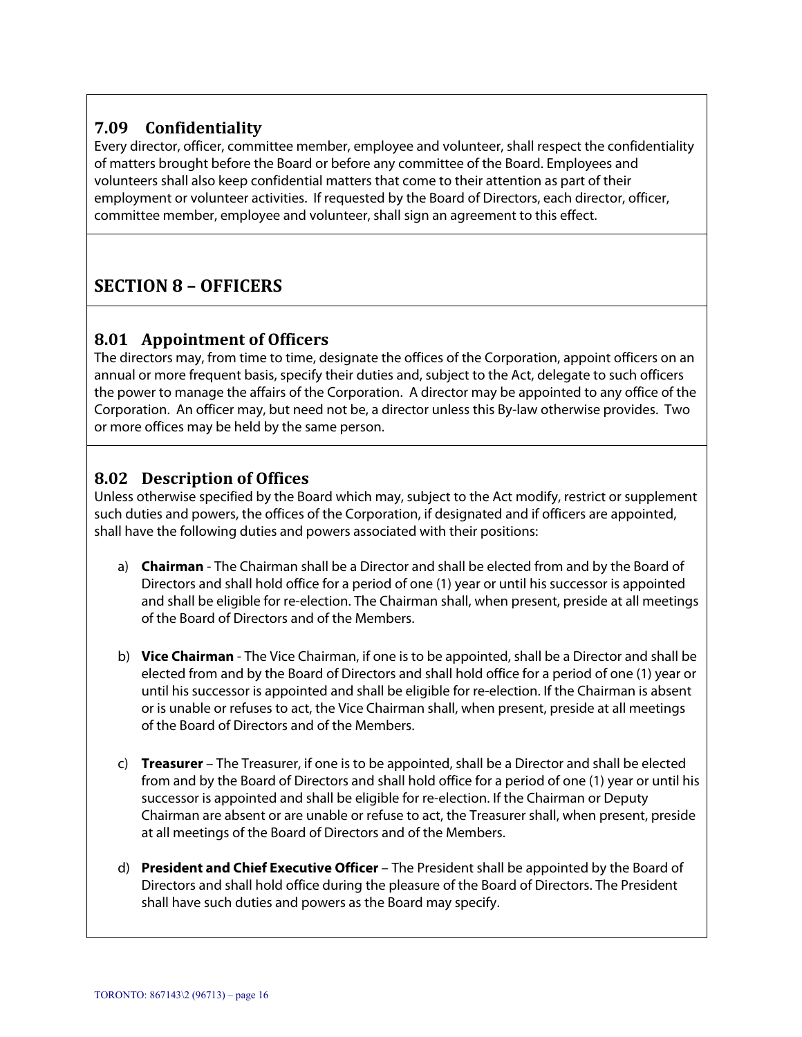# **7.09 Confidentiality**

Every director, officer, committee member, employee and volunteer, shall respect the confidentiality of matters brought before the Board or before any committee of the Board. Employees and volunteers shall also keep confidential matters that come to their attention as part of their employment or volunteer activities. If requested by the Board of Directors, each director, officer, committee member, employee and volunteer, shall sign an agreement to this effect.

# **SECTION 8 – OFFICERS**

### **8.01 Appointment of Officers**

The directors may, from time to time, designate the offices of the Corporation, appoint officers on an annual or more frequent basis, specify their duties and, subject to the Act, delegate to such officers the power to manage the affairs of the Corporation. A director may be appointed to any office of the Corporation. An officer may, but need not be, a director unless this By-law otherwise provides. Two or more offices may be held by the same person.

### **8.02 Description of Offices**

Unless otherwise specified by the Board which may, subject to the Act modify, restrict or supplement such duties and powers, the offices of the Corporation, if designated and if officers are appointed, shall have the following duties and powers associated with their positions:

- a) **Chairman** The Chairman shall be a Director and shall be elected from and by the Board of Directors and shall hold office for a period of one (1) year or until his successor is appointed and shall be eligible for re-election. The Chairman shall, when present, preside at all meetings of the Board of Directors and of the Members.
- b) **Vice Chairman** The Vice Chairman, if one is to be appointed, shall be a Director and shall be elected from and by the Board of Directors and shall hold office for a period of one (1) year or until his successor is appointed and shall be eligible for re-election. If the Chairman is absent or is unable or refuses to act, the Vice Chairman shall, when present, preside at all meetings of the Board of Directors and of the Members.
- c) **Treasurer**  The Treasurer, if one is to be appointed, shall be a Director and shall be elected from and by the Board of Directors and shall hold office for a period of one (1) year or until his successor is appointed and shall be eligible for re-election. If the Chairman or Deputy Chairman are absent or are unable or refuse to act, the Treasurer shall, when present, preside at all meetings of the Board of Directors and of the Members.
- d) **President and Chief Executive Officer**  The President shall be appointed by the Board of Directors and shall hold office during the pleasure of the Board of Directors. The President shall have such duties and powers as the Board may specify.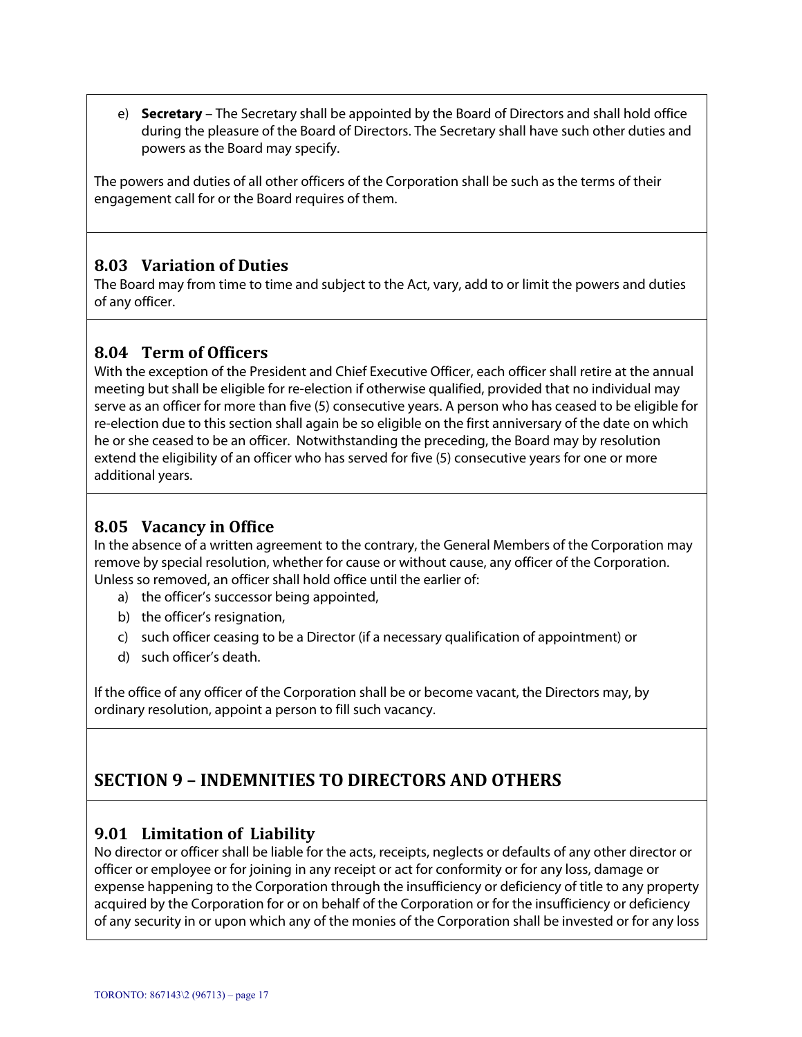e) **Secretary** – The Secretary shall be appointed by the Board of Directors and shall hold office during the pleasure of the Board of Directors. The Secretary shall have such other duties and powers as the Board may specify.

The powers and duties of all other officers of the Corporation shall be such as the terms of their engagement call for or the Board requires of them.

### **8.03 Variation of Duties**

The Board may from time to time and subject to the Act, vary, add to or limit the powers and duties of any officer.

### **8.04 Term of Officers**

With the exception of the President and Chief Executive Officer, each officer shall retire at the annual meeting but shall be eligible for re-election if otherwise qualified, provided that no individual may serve as an officer for more than five (5) consecutive years. A person who has ceased to be eligible for re-election due to this section shall again be so eligible on the first anniversary of the date on which he or she ceased to be an officer. Notwithstanding the preceding, the Board may by resolution extend the eligibility of an officer who has served for five (5) consecutive years for one or more additional years.

## **8.05 Vacancy in Office**

In the absence of a written agreement to the contrary, the General Members of the Corporation may remove by special resolution, whether for cause or without cause, any officer of the Corporation. Unless so removed, an officer shall hold office until the earlier of:

- a) the officer's successor being appointed,
- b) the officer's resignation,
- c) such officer ceasing to be a Director (if a necessary qualification of appointment) or
- d) such officer's death.

If the office of any officer of the Corporation shall be or become vacant, the Directors may, by ordinary resolution, appoint a person to fill such vacancy.

# **SECTION 9 – INDEMNITIES TO DIRECTORS AND OTHERS**

#### **9.01 Limitation of Liability**

No director or officer shall be liable for the acts, receipts, neglects or defaults of any other director or officer or employee or for joining in any receipt or act for conformity or for any loss, damage or expense happening to the Corporation through the insufficiency or deficiency of title to any property acquired by the Corporation for or on behalf of the Corporation or for the insufficiency or deficiency of any security in or upon which any of the monies of the Corporation shall be invested or for any loss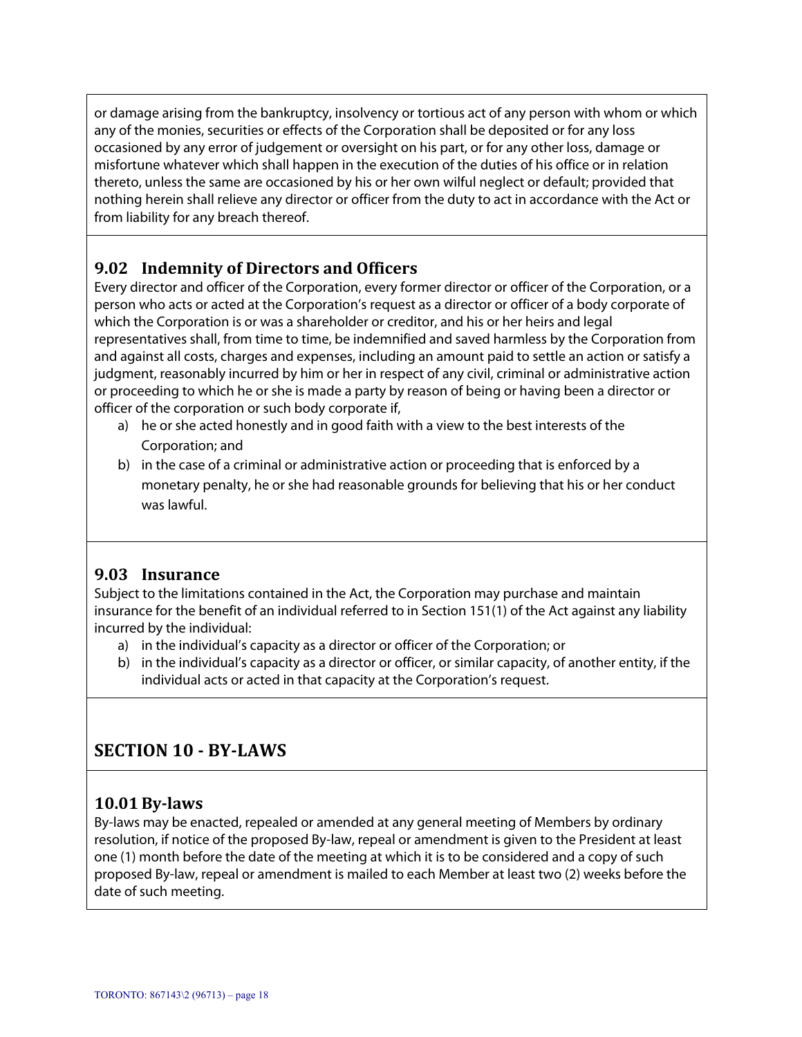or damage arising from the bankruptcy, insolvency or tortious act of any person with whom or which any of the monies, securities or effects of the Corporation shall be deposited or for any loss occasioned by any error of judgement or oversight on his part, or for any other loss, damage or misfortune whatever which shall happen in the execution of the duties of his office or in relation thereto, unless the same are occasioned by his or her own wilful neglect or default; provided that nothing herein shall relieve any director or officer from the duty to act in accordance with the Act or from liability for any breach thereof.

## **9.02 Indemnity of Directors and Officers**

Every director and officer of the Corporation, every former director or officer of the Corporation, or a person who acts or acted at the Corporation's request as a director or officer of a body corporate of which the Corporation is or was a shareholder or creditor, and his or her heirs and legal representatives shall, from time to time, be indemnified and saved harmless by the Corporation from and against all costs, charges and expenses, including an amount paid to settle an action or satisfy a judgment, reasonably incurred by him or her in respect of any civil, criminal or administrative action or proceeding to which he or she is made a party by reason of being or having been a director or officer of the corporation or such body corporate if,

- a) he or she acted honestly and in good faith with a view to the best interests of the Corporation; and
- b) in the case of a criminal or administrative action or proceeding that is enforced by a monetary penalty, he or she had reasonable grounds for believing that his or her conduct was lawful.

## **9.03 Insurance**

Subject to the limitations contained in the Act, the Corporation may purchase and maintain insurance for the benefit of an individual referred to in Section 151(1) of the Act against any liability incurred by the individual:

- a) in the individual's capacity as a director or officer of the Corporation; or
- b) in the individual's capacity as a director or officer, or similar capacity, of another entity, if the individual acts or acted in that capacity at the Corporation's request.

## **SECTION 10 ‐ BY‐LAWS**

#### **10.01 By‐laws**

By-laws may be enacted, repealed or amended at any general meeting of Members by ordinary resolution, if notice of the proposed By-law, repeal or amendment is given to the President at least one (1) month before the date of the meeting at which it is to be considered and a copy of such proposed By-law, repeal or amendment is mailed to each Member at least two (2) weeks before the date of such meeting.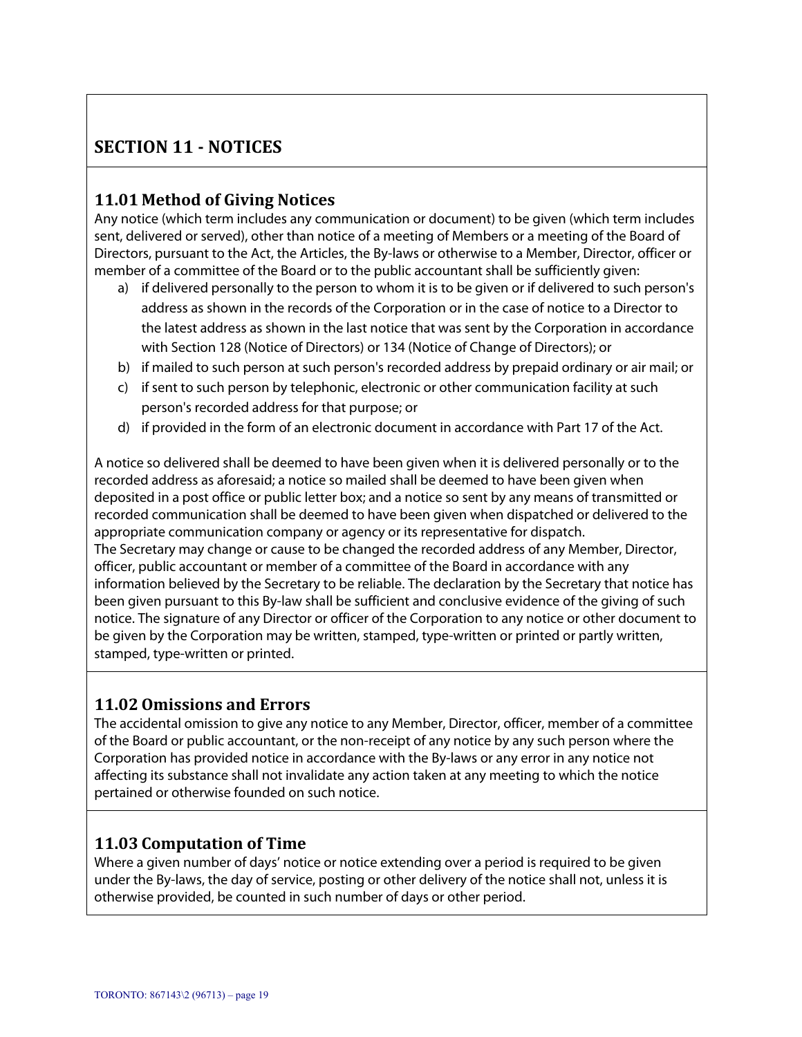# **SECTION 11 ‐ NOTICES**

## **11.01 Method of Giving Notices**

Any notice (which term includes any communication or document) to be given (which term includes sent, delivered or served), other than notice of a meeting of Members or a meeting of the Board of Directors, pursuant to the Act, the Articles, the By-laws or otherwise to a Member, Director, officer or member of a committee of the Board or to the public accountant shall be sufficiently given:

- a) if delivered personally to the person to whom it is to be given or if delivered to such person's address as shown in the records of the Corporation or in the case of notice to a Director to the latest address as shown in the last notice that was sent by the Corporation in accordance with Section 128 (Notice of Directors) or 134 (Notice of Change of Directors); or
- b) if mailed to such person at such person's recorded address by prepaid ordinary or air mail; or
- c) if sent to such person by telephonic, electronic or other communication facility at such person's recorded address for that purpose; or
- d) if provided in the form of an electronic document in accordance with Part 17 of the Act.

A notice so delivered shall be deemed to have been given when it is delivered personally or to the recorded address as aforesaid; a notice so mailed shall be deemed to have been given when deposited in a post office or public letter box; and a notice so sent by any means of transmitted or recorded communication shall be deemed to have been given when dispatched or delivered to the appropriate communication company or agency or its representative for dispatch. The Secretary may change or cause to be changed the recorded address of any Member, Director, officer, public accountant or member of a committee of the Board in accordance with any information believed by the Secretary to be reliable. The declaration by the Secretary that notice has been given pursuant to this By-law shall be sufficient and conclusive evidence of the giving of such notice. The signature of any Director or officer of the Corporation to any notice or other document to be given by the Corporation may be written, stamped, type-written or printed or partly written, stamped, type-written or printed.

#### **11.02Omissions and Errors**

The accidental omission to give any notice to any Member, Director, officer, member of a committee of the Board or public accountant, or the non-receipt of any notice by any such person where the Corporation has provided notice in accordance with the By-laws or any error in any notice not affecting its substance shall not invalidate any action taken at any meeting to which the notice pertained or otherwise founded on such notice.

#### **11.03 Computation of Time**

Where a given number of days' notice or notice extending over a period is required to be given under the By-laws, the day of service, posting or other delivery of the notice shall not, unless it is otherwise provided, be counted in such number of days or other period.